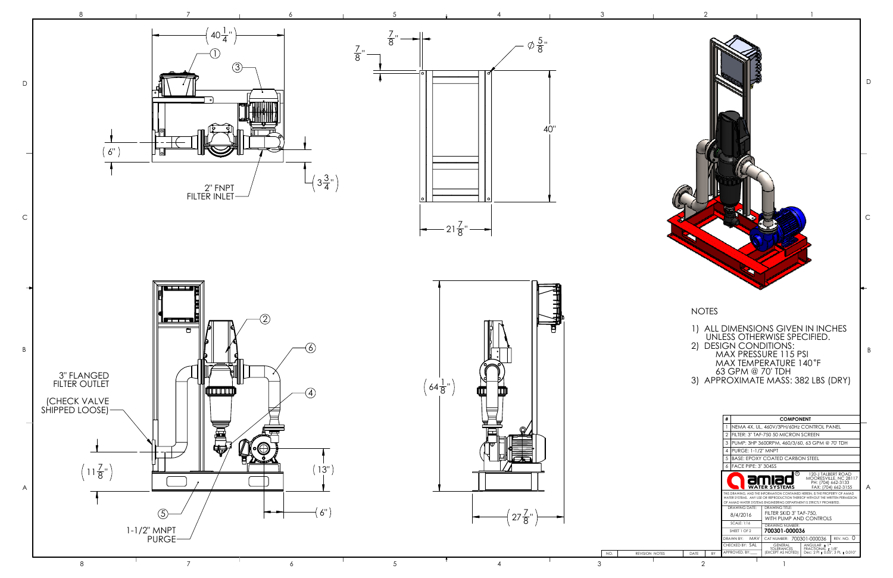

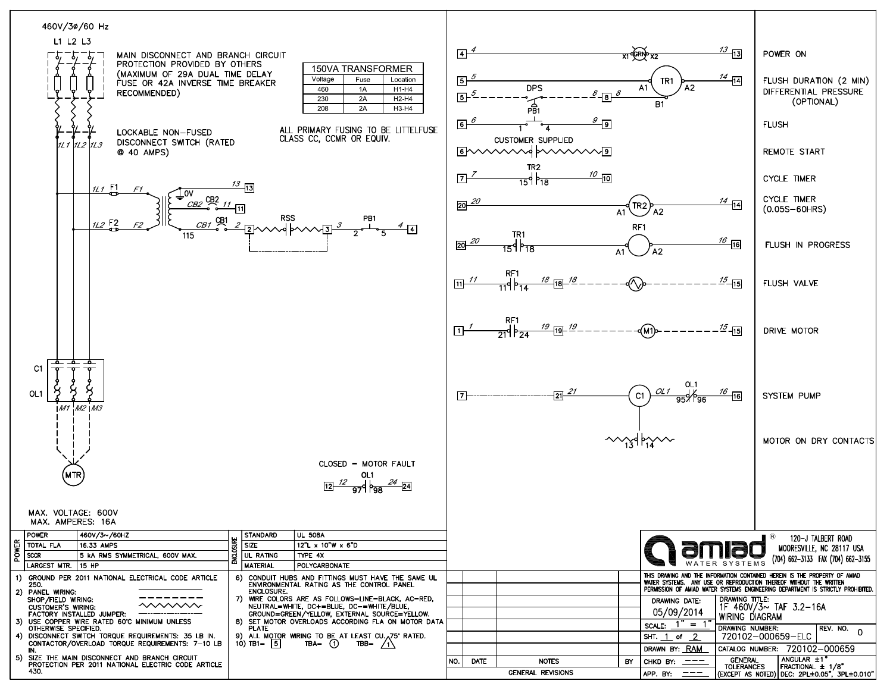